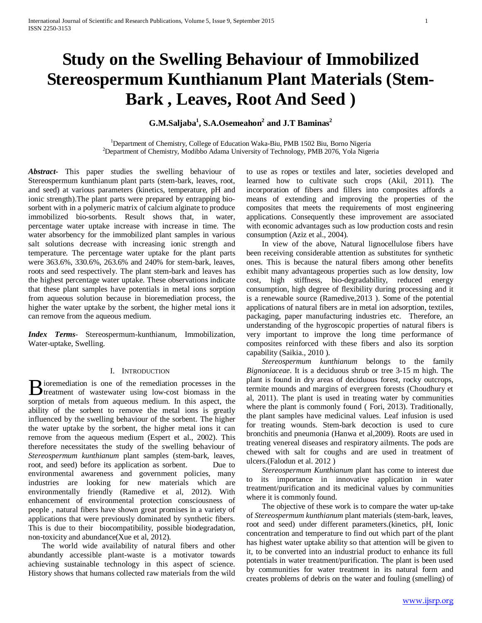# **Study on the Swelling Behaviour of Immobilized Stereospermum Kunthianum Plant Materials (Stem-Bark , Leaves, Root And Seed )**

**G.M.Saljaba1 , S.A.Osemeahon2 and J.T Baminas<sup>2</sup>**

<sup>1</sup>Department of Chemistry, College of Education Waka-Biu, PMB 1502 Biu, Borno Nigeria<br><sup>2</sup>Department of Chemistry, Modibbo Adama University of Technology, PMB 2076, Vola Nige <sup>2</sup>Department of Chemistry, Modibbo Adama University of Technology, PMB 2076, Yola Nigeria

*Abstract***-** This paper studies the swelling behaviour of Stereospermum kunthianum plant parts (stem-bark, leaves, root, and seed) at various parameters (kinetics, temperature, pH and ionic strength).The plant parts were prepared by entrapping biosorbent with in a polymeric matrix of calcium alginate to produce immobilized bio-sorbents. Result shows that, in water, percentage water uptake increase with increase in time. The water absorbency for the immobilized plant samples in various salt solutions decrease with increasing ionic strength and temperature. The percentage water uptake for the plant parts were 363.6%, 330.6%, 263.6% and 240% for stem-bark, leaves, roots and seed respectively. The plant stem-bark and leaves has the highest percentage water uptake. These observations indicate that these plant samples have potentials in metal ions sorption from aqueous solution because in bioremediation process, the higher the water uptake by the sorbent, the higher metal ions it can remove from the aqueous medium.

*Index Terms*- Stereospermum-kunthianum, Immobilization, Water-uptake, Swelling.

#### I. INTRODUCTION

**I** ioremediation is one of the remediation processes in the **B** ioremediation is one of the remediation processes in the treatment of wastewater using low-cost biomass in the sorption of metals from aqueous medium. In this aspect, the ability of the sorbent to remove the metal ions is greatly influenced by the swelling behaviour of the sorbent. The higher the water uptake by the sorbent, the higher metal ions it can remove from the aqueous medium (Espert et al., 2002). This therefore necessitates the study of the swelling behaviour of *Stereospermum kunthianum* plant samples (stem-bark, leaves, root, and seed) before its application as sorbent. Due to environmental awareness and government policies, many industries are looking for new materials which are environmentally friendly (Ramedive et al, 2012). With enhancement of environmental protection consciousness of people , natural fibers have shown great promises in a variety of applications that were previously dominated by synthetic fibers. This is due to their biocompatibility, possible biodegradation, non-toxicity and abundance(Xue et al, 2012).

 The world wide availability of natural fibers and other abundantly accessible plant-waste is a motivator towards achieving sustainable technology in this aspect of science. History shows that humans collected raw materials from the wild to use as ropes or textiles and later, societies developed and learned how to cultivate such crops (Akil, 2011). The incorporation of fibers and fillers into composites affords a means of extending and improving the properties of the composites that meets the requirements of most engineering applications. Consequently these improvement are associated with economic advantages such as low production costs and resin consumption (Aziz et al., 2004).

 In view of the above, Natural lignocellulose fibers have been receiving considerable attention as substitutes for synthetic ones. This is because the natural fibers among other benefits exhibit many advantageous properties such as low density, low cost, high stiffness, bio-degradability, reduced energy consumption, high degree of flexibility during processing and it is a renewable source (Ramedive,2013 ). Some of the potential applications of natural fibers are in metal ion adsorption, textiles, packaging, paper manufacturing industries etc. Therefore, an understanding of the hygroscopic properties of natural fibers is very important to improve the long time performance of composites reinforced with these fibers and also its sorption capability (Saikia., 2010 ).

 *Stereospermum kunthianum* belongs to the family *Bignoniaceae*. It is a deciduous shrub or tree 3-15 m high. The plant is found in dry areas of deciduous forest, rocky outcrops, termite mounds and margins of evergreen forests (Choudhury et al, 2011). The plant is used in treating water by communities where the plant is commonly found ( Fori, 2013). Traditionally, the plant samples have medicinal values. Leaf infusion is used for treating wounds. Stem-bark decoction is used to cure bronchitis and pneumonia (Hanwa et al,2009). Roots are used in treating venereal diseases and respiratory ailments. The pods are chewed with salt for coughs and are used in treatment of ulcers.(Falodun et al. 2012 )

 *Stereospermum Kunthianum* plant has come to interest due to its importance in innovative application in water treatment/purification and its medicinal values by communities where it is commonly found.

 The objective of these work is to compare the water up-take of *Stereospermum kunthianum* plant materials (stem-bark, leaves, root and seed) under different parameters.(kinetics, pH, Ionic concentration and temperature to find out which part of the plant has highest water uptake ability so that attention will be given to it, to be converted into an industrial product to enhance its full potentials in water treatment/purification. The plant is been used by communities for water treatment in its natural form and creates problems of debris on the water and fouling (smelling) of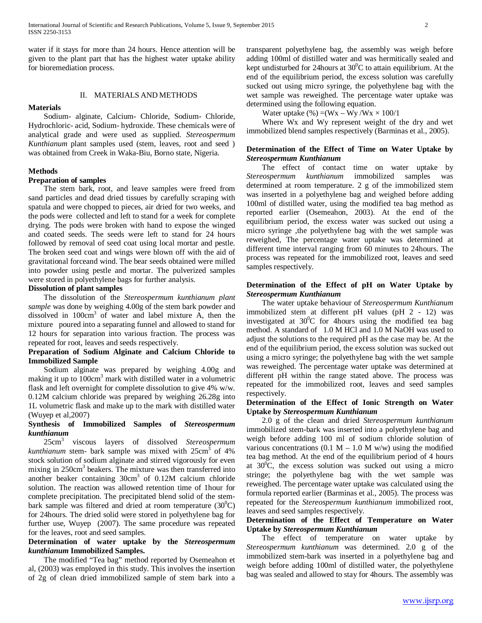water if it stays for more than 24 hours. Hence attention will be given to the plant part that has the highest water uptake ability for bioremediation process.

## II. MATERIALS AND METHODS

#### **Materials**

 Sodium- alginate, Calcium- Chloride, Sodium- Chloride, Hydrochloric- acid, Sodium- hydroxide. These chemicals were of analytical grade and were used as supplied. *Stereospermum Kunthianum* plant samples used (stem, leaves, root and seed ) was obtained from Creek in Waka-Biu, Borno state, Nigeria.

#### **Methods**

#### **Preparation of samples**

 The stem bark, root, and leave samples were freed from sand particles and dead dried tissues by carefully scraping with spatula and were chopped to pieces, air dried for two weeks, and the pods were collected and left to stand for a week for complete drying. The pods were broken with hand to expose the winged and coated seeds. The seeds were left to stand for 24 hours followed by removal of seed coat using local mortar and pestle. The broken seed coat and wings were blown off with the aid of gravitational forceand wind. The bear seeds obtained were milled into powder using pestle and mortar. The pulverized samples were stored in polyethylene bags for further analysis.

#### **Dissolution of plant samples**

 The dissolution of the *Stereospermum kunthianum plant sample* was done by weighing 4.00g of the stem bark powder and dissolved in  $100 \text{cm}^3$  of water and label mixture A, then the mixture poured into a separating funnel and allowed to stand for 12 hours for separation into various fraction. The process was repeated for root, leaves and seeds respectively.

# **Preparation of Sodium Alginate and Calcium Chloride to Immobilized Sample**

 Sodium alginate was prepared by weighing 4.00g and making it up to 100cm<sup>3</sup> mark with distilled water in a volumetric flask and left overnight for complete dissolution to give 4% w/w. 0.12M calcium chloride was prepared by weighing 26.28g into 1L volumetric flask and make up to the mark with distilled water (Wuyep et al,2007)

# **Synthesis of Immobilized Samples of** *Stereospermum kunthianum*

 25cm<sup>3</sup> viscous layers of dissolved *Stereospermum kunthianum* stem- bark sample was mixed with 25cm<sup>3</sup> of 4% stock solution of sodium alginate and stirred vigorously for even mixing in 250cm<sup>3</sup> beakers. The mixture was then transferred into another beaker containing  $30 \text{cm}^3$  of 0.12M calcium chloride solution. The reaction was allowed retention time of 1hour for complete precipitation. The precipitated blend solid of the stembark sample was filtered and dried at room temperature  $(30^0C)$ for 24hours. The dried solid were stored in polyethylene bag for further use, Wuyep (2007). The same procedure was repeated for the leaves, root and seed samples.

# **Determination of water uptake by the** *Stereospermum kunthianum* **Immobilized Samples.**

 The modified "Tea bag" method reported by Osemeahon et al, (2003) was employed in this study. This involves the insertion of 2g of clean dried immobilized sample of stem bark into a

transparent polyethylene bag, the assembly was weigh before adding 100ml of distilled water and was hermitically sealed and kept undisturbed for 24 hours at  $30^0$ C to attain equilibrium. At the end of the equilibrium period, the excess solution was carefully sucked out using micro syringe, the polyethylene bag with the wet sample was reweighed. The percentage water uptake was determined using the following equation.

Water uptake  $(\%) = (Wx - Wy/Wx \times 100/1)$ 

 Where Wx and Wy represent weight of the dry and wet immobilized blend samples respectively (Barminas et al., 2005).

## **Determination of the Effect of Time on Water Uptake by**  *Stereospermum Kunthianum*

 The effect of contact time on water uptake by *Stereospermum kunthianum* immobilized samples was determined at room temperature. 2 g of the immobilized stem was inserted in a polyethylene bag and weighed before adding 100ml of distilled water, using the modified tea bag method as reported earlier (Osemeahon, 2003). At the end of the equilibrium period, the excess water was sucked out using a micro syringe ,the polyethylene bag with the wet sample was reweighed, The percentage water uptake was determined at different time interval ranging from 60 minutes to 24hours. The process was repeated for the immobilized root, leaves and seed samples respectively.

# **Determination of the Effect of pH on Water Uptake by**  *Stereospermum Kunthianum*

 The water uptake behaviour of *Stereospermum Kunthianum* immobilized stem at different pH values (pH 2 - 12) was investigated at  $30^0C$  for 4 hours using the modified tea bag method. A standard of 1.0 M HCl and 1.0 M NaOH was used to adjust the solutions to the required pH as the case may be. At the end of the equilibrium period, the excess solution was sucked out using a micro syringe; the polyethylene bag with the wet sample was reweighed. The percentage water uptake was determined at different pH within the range stated above. The process was repeated for the immobilized root, leaves and seed samples respectively.

#### **Determination of the Effect of Ionic Strength on Water Uptake by** *Stereospermum Kunthianum*

 2.0 g of the clean and dried *Stereospermum kunthianum* immobilized stem-bark was inserted into a polyethylene bag and weigh before adding 100 ml of sodium chloride solution of various concentrations (0.1 M – 1.0 M w/w) using the modified tea bag method. At the end of the equilibrium period of 4 hours at  $30^{\circ}$ C, the excess solution was sucked out using a micro stringe; the polyethylene bag with the wet sample was reweighed. The percentage water uptake was calculated using the formula reported earlier (Barminas et al., 2005). The process was repeated for the *Stereospermum kunthianum* immobilized root, leaves and seed samples respectively.

# **Determination of the Effect of Temperature on Water Uptake by** *Stereospermum Kunthianum*

 The effect of temperature on water uptake by *Stereospermum kunthianum* was determined. 2.0 g of the immobilized stem-bark was inserted in a polyethylene bag and weigh before adding 100ml of distilled water, the polyethylene bag was sealed and allowed to stay for 4hours. The assembly was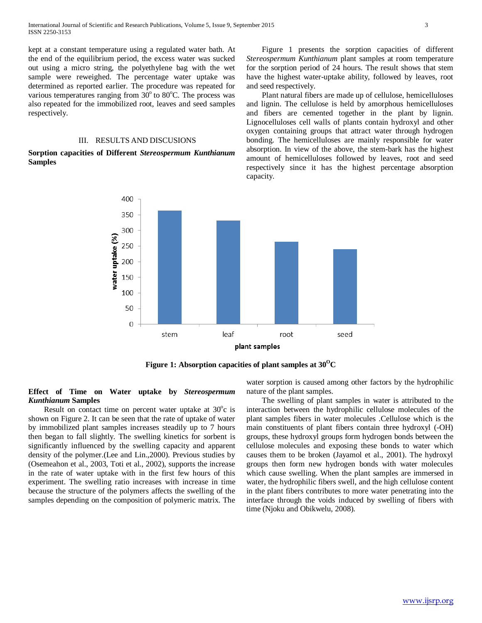kept at a constant temperature using a regulated water bath. At the end of the equilibrium period, the excess water was sucked out using a micro string, the polyethylene bag with the wet sample were reweighed. The percentage water uptake was determined as reported earlier. The procedure was repeated for various temperatures ranging from  $30^{\circ}$  to  $80^{\circ}$ C. The process was also repeated for the immobilized root, leaves and seed samples respectively.

#### III. RESULTS AND DISCUSIONS

**Sorption capacities of Different** *Stereospermum Kunthianum* **Samples** 

 Figure 1 presents the sorption capacities of different *Stereospermum Kunthianum* plant samples at room temperature for the sorption period of 24 hours. The result shows that stem have the highest water-uptake ability, followed by leaves, root and seed respectively.

 Plant natural fibers are made up of cellulose, hemicelluloses and lignin. The cellulose is held by amorphous hemicelluloses and fibers are cemented together in the plant by lignin. Lignocelluloses cell walls of plants contain hydroxyl and other oxygen containing groups that attract water through hydrogen bonding. The hemicelluloses are mainly responsible for water absorption. In view of the above, the stem-bark has the highest amount of hemicelluloses followed by leaves, root and seed respectively since it has the highest percentage absorption capacity.



**Figure 1: Absorption capacities of plant samples at 30<sup>o</sup>C** 

# **Effect of Time on Water uptake by** *Stereospermum Kunthianum* **Samples**

Result on contact time on percent water uptake at  $30^{\circ}$ c is shown on Figure 2. It can be seen that the rate of uptake of water by immobilized plant samples increases steadily up to 7 hours then began to fall slightly. The swelling kinetics for sorbent is significantly influenced by the swelling capacity and apparent density of the polymer.(Lee and Lin.,2000). Previous studies by (Osemeahon et al., 2003, Toti et al., 2002), supports the increase in the rate of water uptake with in the first few hours of this experiment. The swelling ratio increases with increase in time because the structure of the polymers affects the swelling of the samples depending on the composition of polymeric matrix. The

water sorption is caused among other factors by the hydrophilic nature of the plant samples.

 The swelling of plant samples in water is attributed to the interaction between the hydrophilic cellulose molecules of the plant samples fibers in water molecules .Cellulose which is the main constituents of plant fibers contain three hydroxyl (-OH) groups, these hydroxyl groups form hydrogen bonds between the cellulose molecules and exposing these bonds to water which causes them to be broken (Jayamol et al., 2001). The hydroxyl groups then form new hydrogen bonds with water molecules which cause swelling. When the plant samples are immersed in water, the hydrophilic fibers swell, and the high cellulose content in the plant fibers contributes to more water penetrating into the interface through the voids induced by swelling of fibers with time (Njoku and Obikwelu, 2008).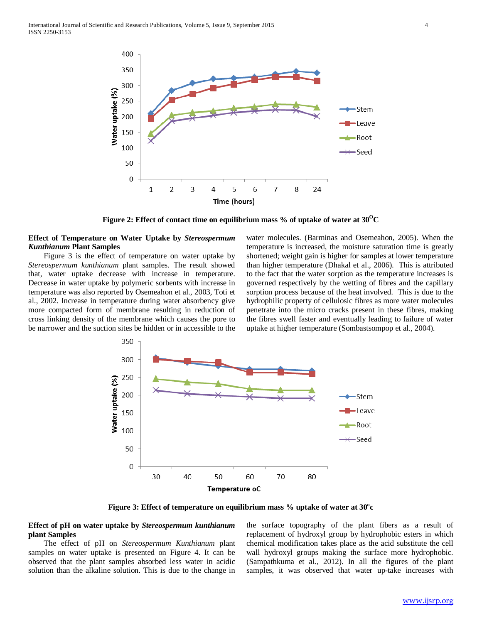

Figure 2: Effect of contact time on equilibrium mass % of uptake of water at  $30^{\rm O} \text{C}$ 

## **Effect of Temperature on Water Uptake by** *Stereospermum Kunthianum* **Plant Samples**

 Figure 3 is the effect of temperature on water uptake by *Stereospermum kunthianum* plant samples. The result showed that, water uptake decrease with increase in temperature. Decrease in water uptake by polymeric sorbents with increase in temperature was also reported by Osemeahon et al., 2003, Toti et al., 2002. Increase in temperature during water absorbency give more compacted form of membrane resulting in reduction of cross linking density of the membrane which causes the pore to be narrower and the suction sites be hidden or in accessible to the water molecules. (Barminas and Osemeahon, 2005). When the temperature is increased, the moisture saturation time is greatly shortened; weight gain is higher for samples at lower temperature than higher temperature (Dhakal et al., 2006). This is attributed to the fact that the water sorption as the temperature increases is governed respectively by the wetting of fibres and the capillary sorption process because of the heat involved. This is due to the hydrophilic property of cellulosic fibres as more water molecules penetrate into the micro cracks present in these fibres, making the fibres swell faster and eventually leading to failure of water uptake at higher temperature (Sombastsompop et al., 2004).



Figure 3: Effect of temperature on equilibrium mass % uptake of water at 30°c

## **Effect of pH on water uptake by** *Stereospermum kunthianum* **plant Samples**

 The effect of pH on *Stereospermum Kunthianum* plant samples on water uptake is presented on Figure 4. It can be observed that the plant samples absorbed less water in acidic solution than the alkaline solution. This is due to the change in the surface topography of the plant fibers as a result of replacement of hydroxyl group by hydrophobic esters in which chemical modification takes place as the acid substitute the cell wall hydroxyl groups making the surface more hydrophobic. (Sampathkuma et al., 2012). In all the figures of the plant samples, it was observed that water up-take increases with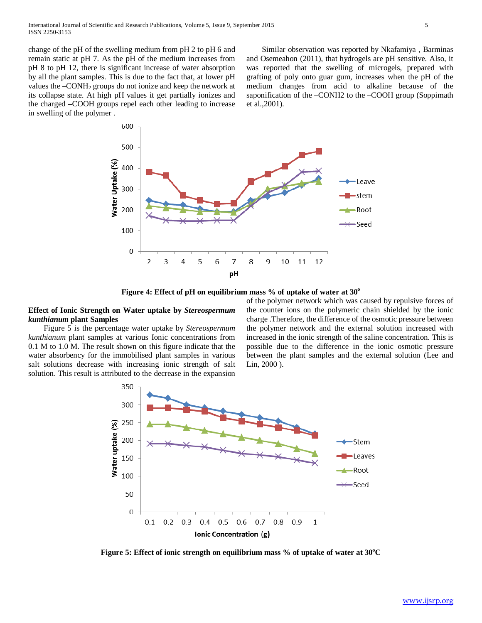change of the pH of the swelling medium from pH 2 to pH 6 and remain static at pH 7. As the pH of the medium increases from pH 8 to pH 12, there is significant increase of water absorption by all the plant samples. This is due to the fact that, at lower pH values the  $-CONH<sub>2</sub>$  groups do not ionize and keep the network at its collapse state. At high pH values it get partially ionizes and the charged –COOH groups repel each other leading to increase in swelling of the polymer .

 Similar observation was reported by Nkafamiya , Barminas and Osemeahon (2011), that hydrogels are pH sensitive. Also, it was reported that the swelling of microgels, prepared with grafting of poly onto guar gum, increases when the pH of the medium changes from acid to alkaline because of the saponification of the –CONH2 to the –COOH group (Soppimath et al.,2001).



**Figure 4: Effect of pH on equilibrium mass % of uptake of water at 30<sup>o</sup>** 

# **Effect of Ionic Strength on Water uptake by** *Stereospermum kunthianum* **plant Samples**

 Figure 5 is the percentage water uptake by *Stereospermum kunthianum* plant samples at various Ionic concentrations from 0.1 M to 1.0 M. The result shown on this figure indicate that the water absorbency for the immobilised plant samples in various salt solutions decrease with increasing ionic strength of salt solution. This result is attributed to the decrease in the expansion of the polymer network which was caused by repulsive forces of the counter ions on the polymeric chain shielded by the ionic charge .Therefore, the difference of the osmotic pressure between the polymer network and the external solution increased with increased in the ionic strength of the saline concentration. This is possible due to the difference in the ionic osmotic pressure between the plant samples and the external solution (Lee and Lin, 2000 ).



Figure 5: Effect of ionic strength on equilibrium mass % of uptake of water at 30°C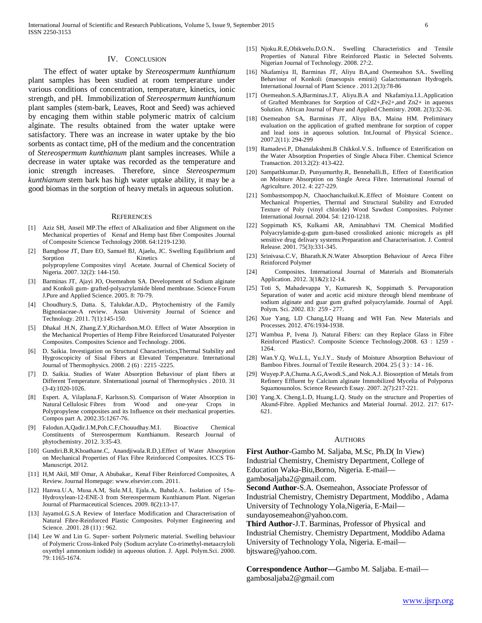#### IV. CONCLUSION

 The effect of water uptake by *Stereospermum kunthianum* plant samples has been studied at room temperature under various conditions of concentration, temperature, kinetics, ionic strength, and pH. Immobilization of *Stereospermum kunthianum* plant samples (stem-bark, Leaves, Root and Seed) was achieved by encaging them within stable polymeric matrix of calcium alginate. The results obtained from the water uptake were satisfactory. There was an increase in water uptake by the bio sorbents as contact time, pH of the medium and the concentration of *Stereospermum kunthianum* plant samples increases. While a decrease in water uptake was recorded as the temperature and ionic strength increases. Therefore, since *Stereospermum kunthianum* stem bark has high water uptake ability, it may be a good biomas in the sorption of heavy metals in aqueous solution.

#### **REFERENCES**

- [1] Aziz SH, Anseil MP.The effect of Alkalization and fiber Alignment on the Mechanical properties of Kenaf and Hemp bast fiber Composites .Journal of Composite Sciencse Technology 2008. 64:1219-1230.
- [2] Bamgbose JT, Dare EO, Samuel BJ, Ajaelu, JC. Swelling Equilibrium and Sorption **Kinetics** of polypropylene Composites vinyl Acetate. Journal of Chemical Society of Nigeria. 2007. 32(2): 144-150.
- [3] Barminas JT, Ajayi JO, Osemeahon SA. Development of Sodium alginate and Konkoli gum- grafted-polyacrylamide blend membrane. Science Forum J.Pure and Applied Science. 2005. 8: 70-79.
- [4] Choudhury.S, Datta. S, Talukdar.A.D,. Phytochemistry of the Family Bignoniaceae-A review. Assan University Journal of Science and Technology. 2011. 7(1):145-150.
- [5] Dhakal .H.N, Zhang.Z.Y,Richardson.M.O. Effect of Water Absorption in the Mechanical Properties of Hemp Fibre Reinforced Unsaturated Polyester Composites. Composites Science and Technology. 2006.
- [6] D. Saikia. Investigation on Structural Characteristics,Thermal Stability and Hygroscopicity of Sisal Fibers at Elevated Temperature. International Journal of Thermophysics. 2008. 2 (6) : 2215 -2225.
- [7] D. Saikia. Studies of Water Absorption Behaviour of plant fibers at Different Temperature. SInternational journal of Thermophysics . 2010. 31 (3-4):1020-1026.
- [8] Espert. A, Vilaplana.F, Karlsson.S). Comparison of Water Absorption in Natural Cellulosic Fibres from Wood and one-year Crops in Polypropylene composites and its Influence on their mechanical properties. Compos part A. 2002.35:1267-76.
- [9] Falodun.A,Qadir.I.M,Poh.C.F,Chouudhay.M.I. Bioactive Chemical Constituents of Stereospermum Kunthianum. Research Journal of phytochemistry. 2012. 3:35-43.
- [10] Gundiri.B.R,Khoathane.C, Anandjiwala.R.D,).Effect of Water Absorption on Mechanical Properties of Flax Fibre Reinforced Composites. ICCS T6- Manuscript. 2012.
- [11] H,M Akil, MF Omar, A Abubakar,. Kenaf Fiber Reinforced Composites, A Review. Journal Homepage: www.elsevier.com. 2011.
- [12] Hanwa.U.A, Musa.A.M, Sule.M.I, Ejala.A, Babale.A.. Isolation of 15α-Hydroxylean-12-ENE-3 from Stereospermum Kunthianum Plant. Nigerian Journal of Pharmaceutical Sciences. 2009. 8(2):13-17.
- [13] Jayamol.G.S.A Review of Interface Modification and Characterisation of Natural Fibre-Reinforced Plastic Composites. Polymer Engineering and Science. .2001. 28 (11) : 962.
- [14] Lee W and Lin G. Super- sorbent Polymeric material. Swelling behaviour of Polymeric Cross-linked Poly (Sodium acrylate Co-trimethyl-metaacryloli oxyethyl ammonium iodide) in aqueous olution. J. Appl. Polym.Sci. 2000. 79: 1165-1674.
- [15] Njoku.R.E,Obikwelu.D.O.N.. Swelling Characteristics and Tensile Properties of Natural Fibre Reinforced Plastic in Selected Solvents. Nigerian Journal of Technology. 2008. 27:2.
- [16] Nkafamiya II, Barminas JT, Aliyu BA,and Osemeahon SA.. Swelling Behaviour of Konkoli (maesopsis eminii) Galactomannan Hydrogels. International Journal of Plant Science . 2011.2(3):78-86
- [17] Osemeahon.S.A,Barminas.J.T, Aliyu.B.A and Nkafamiya.I.I..Application of Grafted Membranes for Sorption of Cd2+,Fe2+,and Zn2+ in aqueous Solution. African Journal of Pure and Applied Chemistry. 2008. 2(3):32-36.
- [18] Osemeahon SA, Barminas JT, Aliyu BA, Maina HM. Preliminary evaluation on the application of grafted membrane for sorption of copper and lead ions in aqueous solution. Int.Journal of Physical Science.. 2007.2(11): 294-299
- [19] Ramadevi.P, Dhanalakshmi.B Chikkol.V.S.. Influence of Esterification on the Water Absorption Properties of Single Abaca Fiber. Chemical Science Transaction. 2013.2(2): 413-422.
- [20] Sampathkumar.D, Punyamurthy.R, Bennehalli.B,. Effect of Esterification on Moisture Absorption on Single Areca Fibre. International Journal of Agriculture. 2012. 4: 227-229.
- [21] Sombastsompop.N, Chaochanchaikul.K..Effect of Moisture Content on Mechanical Properties, Thermal and Structural Stability and Extruded Texture of Poly (vinyl chloride) Wood Sawdust Composites. Polymer International Journal. 2004. 54: 1210-1218.
- [22] Soppimath KS, Kulkami AR, Aminabhavi TM. Chemical Modified Polyacrylamide-g-gum gum-based crosslinked anionic microgels as pH sensitive drug delivary systems:Preparation and Characterisation. J. Control Release. 2001. 75(3):331-345.
- [23] Srinivasa.C.V, Bharath.K.N.Water Absorption Behaviour of Areca Fibre Reinforced Polymer
- [24] Composites. International Journal of Materials and Biomaterials Application. 2012. 3(1&2):12-14.
- [25] Toti S, Mahadevappa Y, Kumaresh K, Soppimath S. Pervaporation Separation of water and acetic acid mixture through blend membrane of sodium alginate and guar gum grafted polyacrylamide. Journal of Appl. Polym. Sci. 2002. 83: 259 - 277.
- [26] Xue Yang, LD Chang,LQ Huang and WH Fan. New Materials and Processes. 2012. 476:1934-1938.
- [27] Wambua P, Ivena J). Natural Fibers: can they Replace Glass in Fibre Reinforced Plastics?. Composite Science Technology.2008. 63 : 1259 - 1264.
- [28] Wan.Y.Q, Wu.L.L, Yu.J.Y.. Study of Moisture Absorption Behaviour of Bamboo Fibres. Journal of Textile Research. 2004. 25 ( 3 ) : 14 - 16.
- [29] Wuyep.P.A,Chuma.A.G,Awodi.S.,and Nok.A.J. Biosorption of Metals from Refinery Effluent by Calcium alginate Immobilized Mycelia of Polyporus Squamosunolos. Science Research Essay. 2007. 2(7):217-221.
- [30] Yang.X. Cheng.L.D, Huang.L.Q. Study on the structure and Properties of Akund-Fibre. Applied Mechanics and Material Journal. 2012. 217: 617- 621.

#### **AUTHORS**

**First Author-**Gambo M. Saljaba, M.Sc, Ph.D( In View) Industrial Chemistry, Chemistry Department, College of Education Waka-Biu,Borno, Nigeria. E-mail gambosaljaba2@gmail.com. **Second Author-**S.A. Osemeahon, Associate Professor of Industrial Chemistry, Chemistry Department, Moddibo , Adama

University of Technology Yola,Nigeria, E-Mail—

sundayosemeahon@yahoo.com.

**Third Author-**J.T. Barminas, Professor of Physical and Industrial Chemistry. Chemistry Department, Moddibo Adama University of Technology Yola, Nigeria. E-mail bjtsware@yahoo.com.

**Correspondence Author—**Gambo M. Saljaba. E-mail gambosaljaba2@gmail.com